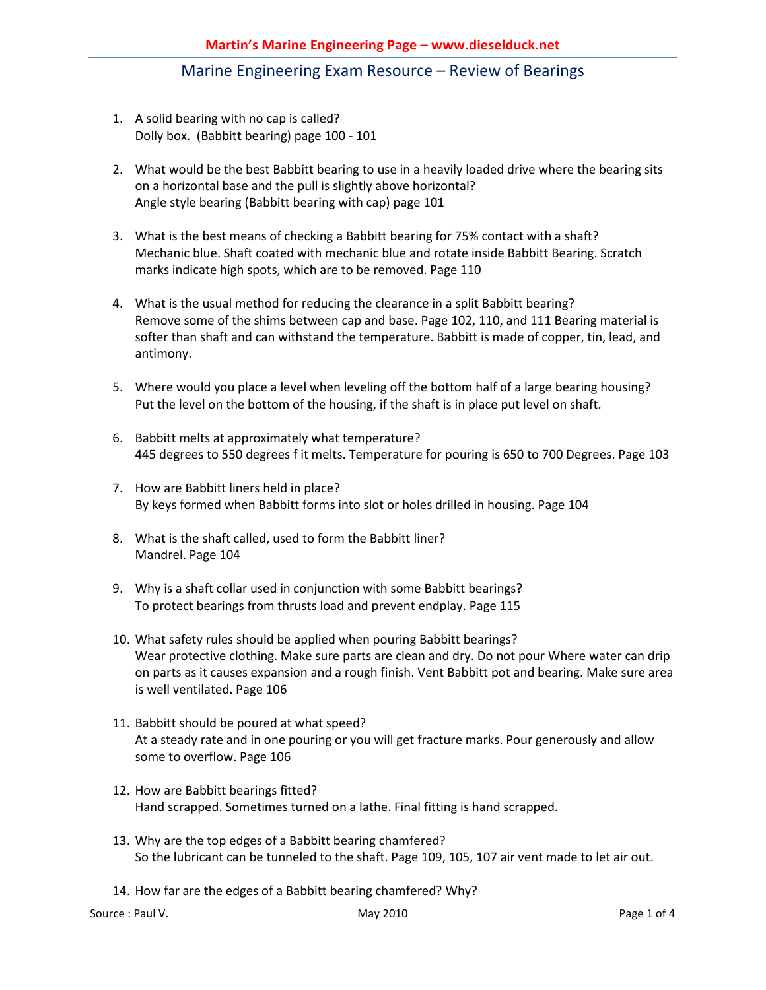- 1. A solid bearing with no cap is called? Dolly box. (Babbitt bearing) page 100 - 101
- 2. What would be the best Babbitt bearing to use in a heavily loaded drive where the bearing sits on a horizontal base and the pull is slightly above horizontal? Angle style bearing (Babbitt bearing with cap) page 101
- 3. What is the best means of checking a Babbitt bearing for 75% contact with a shaft? Mechanic blue. Shaft coated with mechanic blue and rotate inside Babbitt Bearing. Scratch marks indicate high spots, which are to be removed. Page 110
- 4. What is the usual method for reducing the clearance in a split Babbitt bearing? Remove some of the shims between cap and base. Page 102, 110, and 111 Bearing material is softer than shaft and can withstand the temperature. Babbitt is made of copper, tin, lead, and antimony.
- 5. Where would you place a level when leveling off the bottom half of a large bearing housing? Put the level on the bottom of the housing, if the shaft is in place put level on shaft.
- 6. Babbitt melts at approximately what temperature? 445 degrees to 550 degrees f it melts. Temperature for pouring is 650 to 700 Degrees. Page 103
- 7. How are Babbitt liners held in place? By keys formed when Babbitt forms into slot or holes drilled in housing. Page 104
- 8. What is the shaft called, used to form the Babbitt liner? Mandrel. Page 104
- 9. Why is a shaft collar used in conjunction with some Babbitt bearings? To protect bearings from thrusts load and prevent endplay. Page 115
- 10. What safety rules should be applied when pouring Babbitt bearings? Wear protective clothing. Make sure parts are clean and dry. Do not pour Where water can drip on parts as it causes expansion and a rough finish. Vent Babbitt pot and bearing. Make sure area is well ventilated. Page 106
- 11. Babbitt should be poured at what speed? At a steady rate and in one pouring or you will get fracture marks. Pour generously and allow some to overflow. Page 106
- 12. How are Babbitt bearings fitted? Hand scrapped. Sometimes turned on a lathe. Final fitting is hand scrapped.
- 13. Why are the top edges of a Babbitt bearing chamfered? So the lubricant can be tunneled to the shaft. Page 109, 105, 107 air vent made to let air out.
- 14. How far are the edges of a Babbitt bearing chamfered? Why?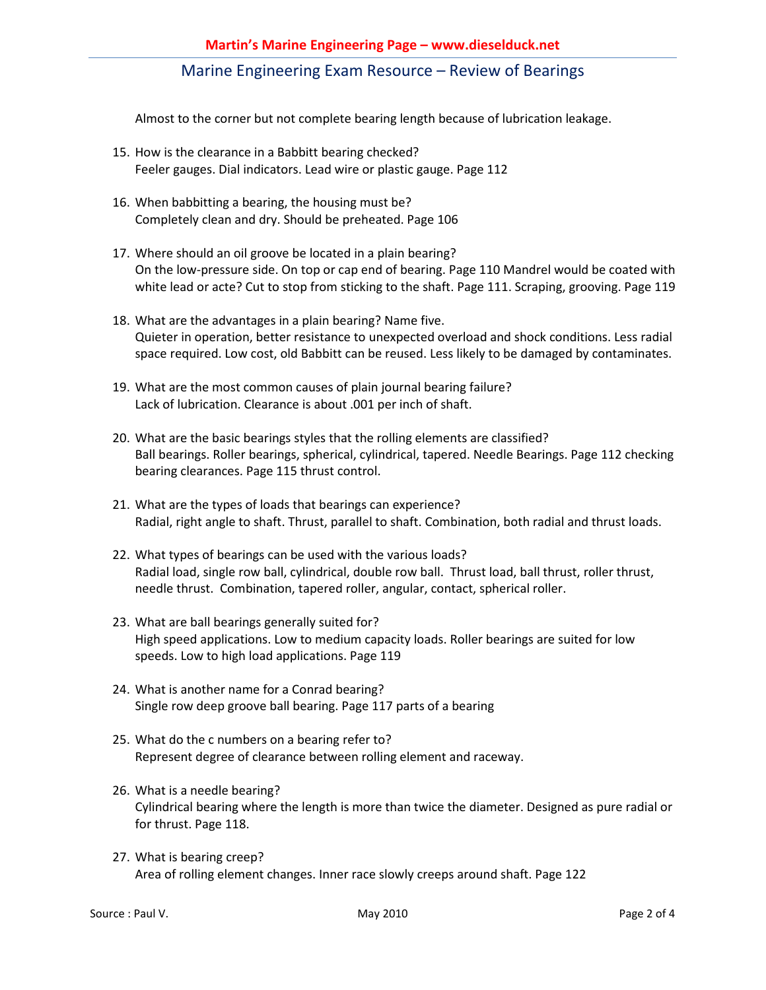Almost to the corner but not complete bearing length because of lubrication leakage.

- 15. How is the clearance in a Babbitt bearing checked? Feeler gauges. Dial indicators. Lead wire or plastic gauge. Page 112
- 16. When babbitting a bearing, the housing must be? Completely clean and dry. Should be preheated. Page 106
- 17. Where should an oil groove be located in a plain bearing? On the low-pressure side. On top or cap end of bearing. Page 110 Mandrel would be coated with white lead or acte? Cut to stop from sticking to the shaft. Page 111. Scraping, grooving. Page 119
- 18. What are the advantages in a plain bearing? Name five. Quieter in operation, better resistance to unexpected overload and shock conditions. Less radial space required. Low cost, old Babbitt can be reused. Less likely to be damaged by contaminates.
- 19. What are the most common causes of plain journal bearing failure? Lack of lubrication. Clearance is about .001 per inch of shaft.
- 20. What are the basic bearings styles that the rolling elements are classified? Ball bearings. Roller bearings, spherical, cylindrical, tapered. Needle Bearings. Page 112 checking bearing clearances. Page 115 thrust control.
- 21. What are the types of loads that bearings can experience? Radial, right angle to shaft. Thrust, parallel to shaft. Combination, both radial and thrust loads.
- 22. What types of bearings can be used with the various loads? Radial load, single row ball, cylindrical, double row ball. Thrust load, ball thrust, roller thrust, needle thrust. Combination, tapered roller, angular, contact, spherical roller.
- 23. What are ball bearings generally suited for? High speed applications. Low to medium capacity loads. Roller bearings are suited for low speeds. Low to high load applications. Page 119
- 24. What is another name for a Conrad bearing? Single row deep groove ball bearing. Page 117 parts of a bearing
- 25. What do the c numbers on a bearing refer to? Represent degree of clearance between rolling element and raceway.
- 26. What is a needle bearing? Cylindrical bearing where the length is more than twice the diameter. Designed as pure radial or for thrust. Page 118.
- 27. What is bearing creep? Area of rolling element changes. Inner race slowly creeps around shaft. Page 122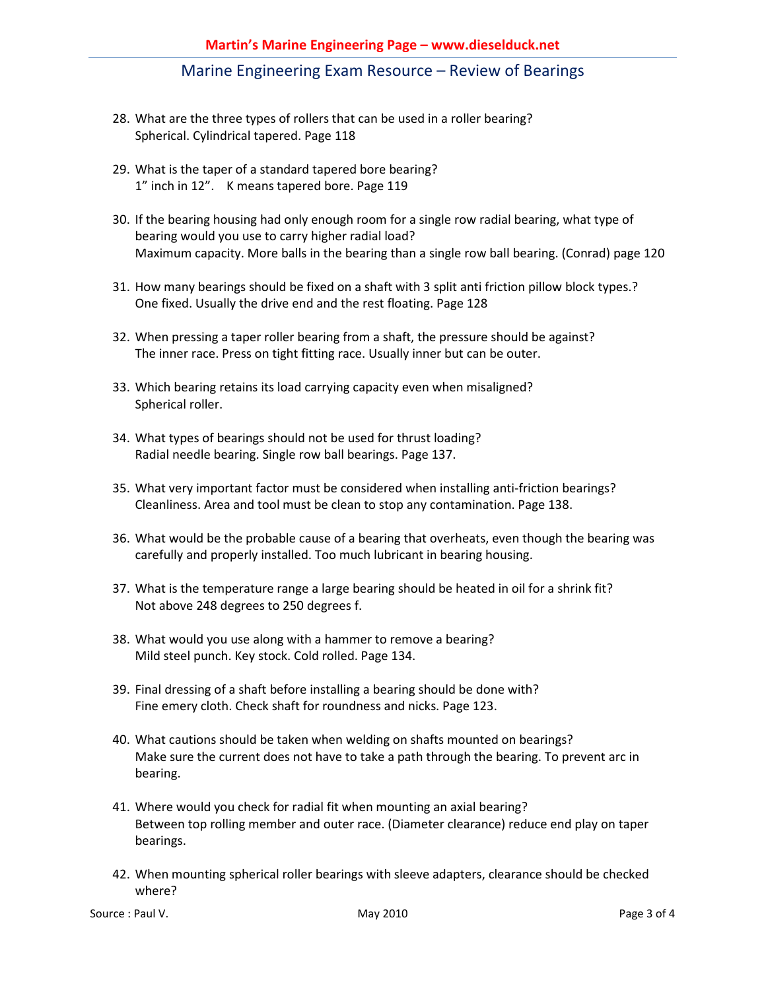- 28. What are the three types of rollers that can be used in a roller bearing? Spherical. Cylindrical tapered. Page 118
- 29. What is the taper of a standard tapered bore bearing? 1" inch in 12". K means tapered bore. Page 119
- 30. If the bearing housing had only enough room for a single row radial bearing, what type of bearing would you use to carry higher radial load? Maximum capacity. More balls in the bearing than a single row ball bearing. (Conrad) page 120
- 31. How many bearings should be fixed on a shaft with 3 split anti friction pillow block types.? One fixed. Usually the drive end and the rest floating. Page 128
- 32. When pressing a taper roller bearing from a shaft, the pressure should be against? The inner race. Press on tight fitting race. Usually inner but can be outer.
- 33. Which bearing retains its load carrying capacity even when misaligned? Spherical roller.
- 34. What types of bearings should not be used for thrust loading? Radial needle bearing. Single row ball bearings. Page 137.
- 35. What very important factor must be considered when installing anti-friction bearings? Cleanliness. Area and tool must be clean to stop any contamination. Page 138.
- 36. What would be the probable cause of a bearing that overheats, even though the bearing was carefully and properly installed. Too much lubricant in bearing housing.
- 37. What is the temperature range a large bearing should be heated in oil for a shrink fit? Not above 248 degrees to 250 degrees f.
- 38. What would you use along with a hammer to remove a bearing? Mild steel punch. Key stock. Cold rolled. Page 134.
- 39. Final dressing of a shaft before installing a bearing should be done with? Fine emery cloth. Check shaft for roundness and nicks. Page 123.
- 40. What cautions should be taken when welding on shafts mounted on bearings? Make sure the current does not have to take a path through the bearing. To prevent arc in bearing.
- 41. Where would you check for radial fit when mounting an axial bearing? Between top rolling member and outer race. (Diameter clearance) reduce end play on taper bearings.
- 42. When mounting spherical roller bearings with sleeve adapters, clearance should be checked where?